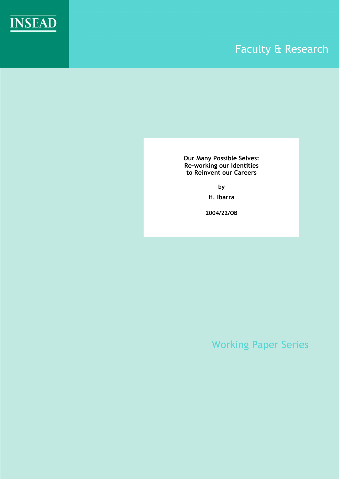

# Faculty & Research

**Our Many Possible Selves: Re-working our Identities to Reinvent our Careers** 

**by** 

**H. Ibarra** 

**2004/22/OB** 

Working Paper Series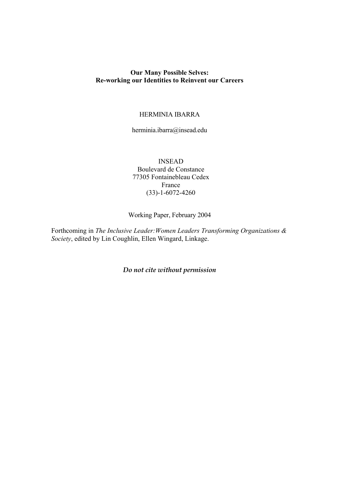# **Our Many Possible Selves: Re-working our Identities to Reinvent our Careers**

## HERMINIA IBARRA

herminia.ibarra@insead.edu

INSEAD Boulevard de Constance 77305 Fontainebleau Cedex France (33)-1-6072-4260

# Working Paper, February 2004

Forthcoming in *The Inclusive Leader:Women Leaders Transforming Organizations & Society*, edited by Lin Coughlin, Ellen Wingard, Linkage.

# *Do not cite without permission*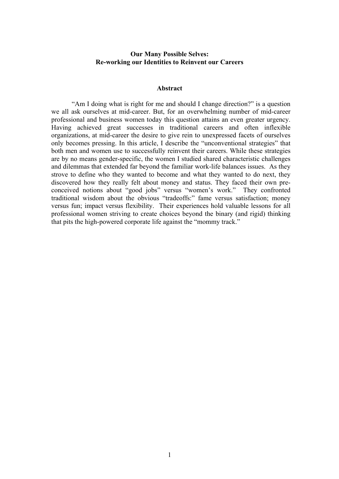## **Our Many Possible Selves: Re-working our Identities to Reinvent our Careers**

#### **Abstract**

"Am I doing what is right for me and should I change direction?" is a question we all ask ourselves at mid-career. But, for an overwhelming number of mid-career professional and business women today this question attains an even greater urgency. Having achieved great successes in traditional careers and often inflexible organizations, at mid-career the desire to give rein to unexpressed facets of ourselves only becomes pressing. In this article, I describe the "unconventional strategies" that both men and women use to successfully reinvent their careers. While these strategies are by no means gender-specific, the women I studied shared characteristic challenges and dilemmas that extended far beyond the familiar work-life balances issues. As they strove to define who they wanted to become and what they wanted to do next, they discovered how they really felt about money and status. They faced their own preconceived notions about "good jobs" versus "women's work." They confronted traditional wisdom about the obvious "tradeoffs:" fame versus satisfaction; money versus fun; impact versus flexibility. Their experiences hold valuable lessons for all professional women striving to create choices beyond the binary (and rigid) thinking that pits the high-powered corporate life against the "mommy track."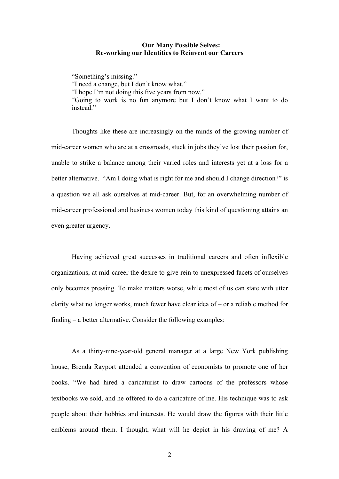### **Our Many Possible Selves: Re-working our Identities to Reinvent our Careers**

"Something's missing."

"I need a change, but I don't know what."

"I hope I'm not doing this five years from now."

"Going to work is no fun anymore but I don't know what I want to do instead"

Thoughts like these are increasingly on the minds of the growing number of mid-career women who are at a crossroads, stuck in jobs they've lost their passion for, unable to strike a balance among their varied roles and interests yet at a loss for a better alternative. "Am I doing what is right for me and should I change direction?" is a question we all ask ourselves at mid-career. But, for an overwhelming number of mid-career professional and business women today this kind of questioning attains an even greater urgency.

Having achieved great successes in traditional careers and often inflexible organizations, at mid-career the desire to give rein to unexpressed facets of ourselves only becomes pressing. To make matters worse, while most of us can state with utter clarity what no longer works, much fewer have clear idea of – or a reliable method for finding – a better alternative. Consider the following examples:

As a thirty-nine-year-old general manager at a large New York publishing house, Brenda Rayport attended a convention of economists to promote one of her books. "We had hired a caricaturist to draw cartoons of the professors whose textbooks we sold, and he offered to do a caricature of me. His technique was to ask people about their hobbies and interests. He would draw the figures with their little emblems around them. I thought, what will he depict in his drawing of me? A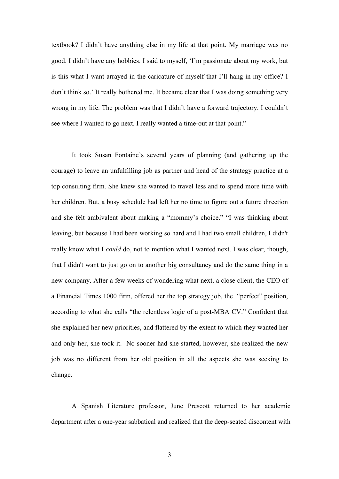textbook? I didn't have anything else in my life at that point. My marriage was no good. I didn't have any hobbies. I said to myself, 'I'm passionate about my work, but is this what I want arrayed in the caricature of myself that I'll hang in my office? I don't think so.' It really bothered me. It became clear that I was doing something very wrong in my life. The problem was that I didn't have a forward trajectory. I couldn't see where I wanted to go next. I really wanted a time-out at that point."

It took Susan Fontaine's several years of planning (and gathering up the courage) to leave an unfulfilling job as partner and head of the strategy practice at a top consulting firm. She knew she wanted to travel less and to spend more time with her children. But, a busy schedule had left her no time to figure out a future direction and she felt ambivalent about making a "mommy's choice." "I was thinking about leaving, but because I had been working so hard and I had two small children, I didn't really know what I *could* do, not to mention what I wanted next. I was clear, though, that I didn't want to just go on to another big consultancy and do the same thing in a new company. After a few weeks of wondering what next, a close client, the CEO of a Financial Times 1000 firm, offered her the top strategy job, the "perfect" position, according to what she calls "the relentless logic of a post-MBA CV." Confident that she explained her new priorities, and flattered by the extent to which they wanted her and only her, she took it. No sooner had she started, however, she realized the new job was no different from her old position in all the aspects she was seeking to change.

A Spanish Literature professor, June Prescott returned to her academic department after a one-year sabbatical and realized that the deep-seated discontent with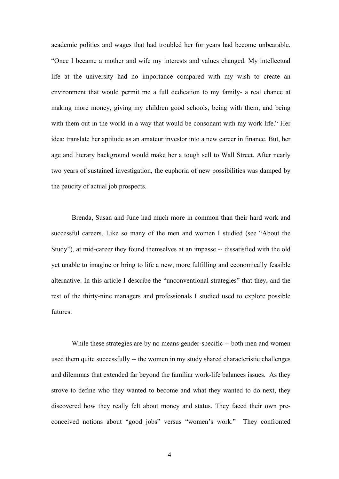academic politics and wages that had troubled her for years had become unbearable. "Once I became a mother and wife my interests and values changed. My intellectual life at the university had no importance compared with my wish to create an environment that would permit me a full dedication to my family- a real chance at making more money, giving my children good schools, being with them, and being with them out in the world in a way that would be consonant with my work life." Her idea: translate her aptitude as an amateur investor into a new career in finance. But, her age and literary background would make her a tough sell to Wall Street. After nearly two years of sustained investigation, the euphoria of new possibilities was damped by the paucity of actual job prospects.

Brenda, Susan and June had much more in common than their hard work and successful careers. Like so many of the men and women I studied (see "About the Study"), at mid-career they found themselves at an impasse -- dissatisfied with the old yet unable to imagine or bring to life a new, more fulfilling and economically feasible alternative. In this article I describe the "unconventional strategies" that they, and the rest of the thirty-nine managers and professionals I studied used to explore possible futures.

While these strategies are by no means gender-specific -- both men and women used them quite successfully -- the women in my study shared characteristic challenges and dilemmas that extended far beyond the familiar work-life balances issues. As they strove to define who they wanted to become and what they wanted to do next, they discovered how they really felt about money and status. They faced their own preconceived notions about "good jobs" versus "women's work." They confronted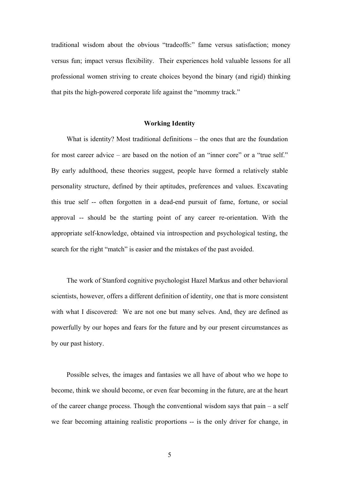traditional wisdom about the obvious "tradeoffs:" fame versus satisfaction; money versus fun; impact versus flexibility. Their experiences hold valuable lessons for all professional women striving to create choices beyond the binary (and rigid) thinking that pits the high-powered corporate life against the "mommy track."

### **Working Identity**

What is identity? Most traditional definitions – the ones that are the foundation for most career advice – are based on the notion of an "inner core" or a "true self." By early adulthood, these theories suggest, people have formed a relatively stable personality structure, defined by their aptitudes, preferences and values. Excavating this true self -- often forgotten in a dead-end pursuit of fame, fortune, or social approval -- should be the starting point of any career re-orientation. With the appropriate self-knowledge, obtained via introspection and psychological testing, the search for the right "match" is easier and the mistakes of the past avoided.

The work of Stanford cognitive psychologist Hazel Markus and other behavioral scientists, however, offers a different definition of identity, one that is more consistent with what I discovered: We are not one but many selves. And, they are defined as powerfully by our hopes and fears for the future and by our present circumstances as by our past history.

Possible selves, the images and fantasies we all have of about who we hope to become, think we should become, or even fear becoming in the future, are at the heart of the career change process. Though the conventional wisdom says that pain – a self we fear becoming attaining realistic proportions -- is the only driver for change, in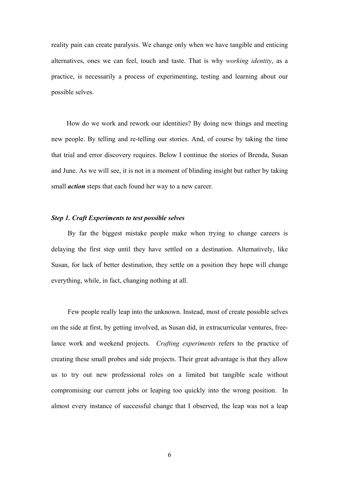reality pain can create paralysis. We change only when we have tangible and enticing alternatives, ones we can feel, touch and taste. That is why *working identity*, as a practice, is necessarily a process of experimenting, testing and learning about our possible selves.

How do we work and rework our identities? By doing new things and meeting new people. By telling and re-telling our stories. And, of course by taking the time that trial and error discovery requires. Below I continue the stories of Brenda, Susan and June. As we will see, it is not in a moment of blinding insight but rather by taking small *action* steps that each found her way to a new career.

# *Step 1. Craft Experiments to test possible selves*

By far the biggest mistake people make when trying to change careers is delaying the first step until they have settled on a destination. Alternatively, like Susan, for lack of better destination, they settle on a position they hope will change everything, while, in fact, changing nothing at all.

Few people really leap into the unknown. Instead, most of create possible selves on the side at first, by getting involved, as Susan did, in extracurricular ventures, freelance work and weekend projects. *Crafting experiments* refers to the practice of creating these small probes and side projects. Their great advantage is that they allow us to try out new professional roles on a limited but tangible scale without compromising our current jobs or leaping too quickly into the wrong position. In almost every instance of successful change that I observed, the leap was not a leap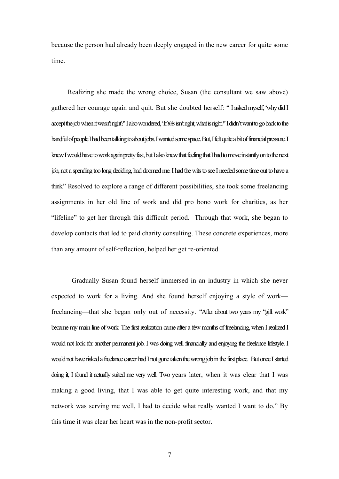because the person had already been deeply engaged in the new career for quite some time.

Realizing she made the wrong choice, Susan (the consultant we saw above) gathered her courage again and quit. But she doubted herself: " I askedmyself,'why did I accept the job when it wasn'tright?' I also wondered, 'If *this* isn't right, what is right?' I didn't want to go back to the handful of people I had been talking to about jobs. I wanted some space. But, I felt quite a bit of financial pressure. I knew I would have to work again pretty fast, but I also knew that feeling that I had to move instantly on to the next job, not a spending too long deciding, had doomed me. I had the wits to see I needed some time out to have a think." Resolved to explore a range of different possibilities, she took some freelancing assignments in her old line of work and did pro bono work for charities, as her "lifeline" to get her through this difficult period. Through that work, she began to develop contacts that led to paid charity consulting. These concrete experiences, more than any amount of self-reflection, helped her get re-oriented.

Gradually Susan found herself immersed in an industry in which she never expected to work for a living. And she found herself enjoying a style of work freelancing—that she began only out of necessity. "After about two years my "gift work" became my main line of work. The first realization came after a few months of freelancing, when I realized I would not look for another permanent job. I was doing well financially and enjoying the freelance lifestyle. I would not have risked a freelance career had I not gone taken the wrong job in the first place. But once I started doing it, I found it actually suited me very well. Two years later, when it was clear that I was making a good living, that I was able to get quite interesting work, and that my network was serving me well, I had to decide what really wanted I want to do." By this time it was clear her heart was in the non-profit sector.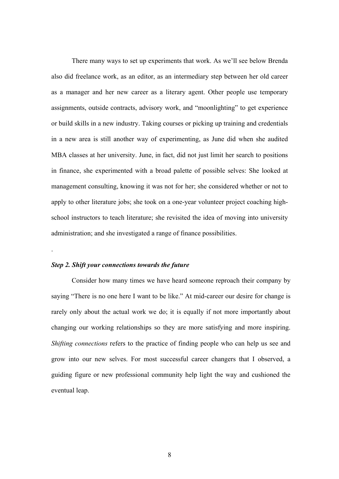There many ways to set up experiments that work. As we'll see below Brenda also did freelance work, as an editor, as an intermediary step between her old career as a manager and her new career as a literary agent. Other people use temporary assignments, outside contracts, advisory work, and "moonlighting" to get experience or build skills in a new industry. Taking courses or picking up training and credentials in a new area is still another way of experimenting, as June did when she audited MBA classes at her university. June, in fact, did not just limit her search to positions in finance, she experimented with a broad palette of possible selves: She looked at management consulting, knowing it was not for her; she considered whether or not to apply to other literature jobs; she took on a one-year volunteer project coaching highschool instructors to teach literature; she revisited the idea of moving into university administration; and she investigated a range of finance possibilities.

#### *Step 2. Shift your connections towards the future*

.

Consider how many times we have heard someone reproach their company by saying "There is no one here I want to be like." At mid-career our desire for change is rarely only about the actual work we do; it is equally if not more importantly about changing our working relationships so they are more satisfying and more inspiring. *Shifting connections* refers to the practice of finding people who can help us see and grow into our new selves. For most successful career changers that I observed, a guiding figure or new professional community help light the way and cushioned the eventual leap.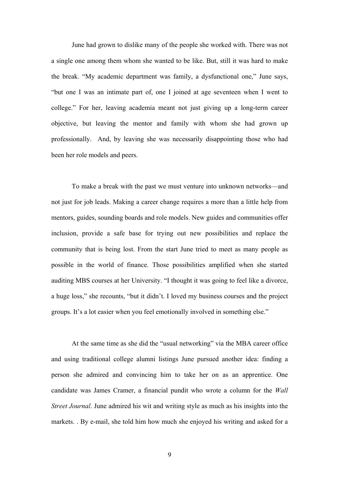June had grown to dislike many of the people she worked with. There was not a single one among them whom she wanted to be like. But, still it was hard to make the break. "My academic department was family, a dysfunctional one," June says, "but one I was an intimate part of, one I joined at age seventeen when I went to college." For her, leaving academia meant not just giving up a long-term career objective, but leaving the mentor and family with whom she had grown up professionally. And, by leaving she was necessarily disappointing those who had been her role models and peers.

To make a break with the past we must venture into unknown networks—and not just for job leads. Making a career change requires a more than a little help from mentors, guides, sounding boards and role models. New guides and communities offer inclusion, provide a safe base for trying out new possibilities and replace the community that is being lost. From the start June tried to meet as many people as possible in the world of finance. Those possibilities amplified when she started auditing MBS courses at her University. "I thought it was going to feel like a divorce, a huge loss," she recounts, "but it didn't. I loved my business courses and the project groups. It's a lot easier when you feel emotionally involved in something else."

At the same time as she did the "usual networking" via the MBA career office and using traditional college alumni listings June pursued another idea: finding a person she admired and convincing him to take her on as an apprentice. One candidate was James Cramer, a financial pundit who wrote a column for the *Wall Street Journal*. June admired his wit and writing style as much as his insights into the markets. . By e-mail, she told him how much she enjoyed his writing and asked for a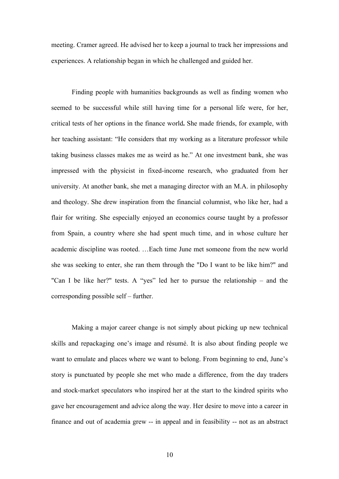meeting. Cramer agreed. He advised her to keep a journal to track her impressions and experiences. A relationship began in which he challenged and guided her.

Finding people with humanities backgrounds as well as finding women who seemed to be successful while still having time for a personal life were, for her, critical tests of her options in the finance world**.** She made friends, for example, with her teaching assistant: "He considers that my working as a literature professor while taking business classes makes me as weird as he." At one investment bank, she was impressed with the physicist in fixed-income research, who graduated from her university. At another bank, she met a managing director with an M.A. in philosophy and theology. She drew inspiration from the financial columnist, who like her, had a flair for writing. She especially enjoyed an economics course taught by a professor from Spain, a country where she had spent much time, and in whose culture her academic discipline was rooted. …Each time June met someone from the new world she was seeking to enter, she ran them through the "Do I want to be like him?" and "Can I be like her?" tests. A "yes" led her to pursue the relationship – and the corresponding possible self – further.

Making a major career change is not simply about picking up new technical skills and repackaging one's image and résumé. It is also about finding people we want to emulate and places where we want to belong. From beginning to end, June's story is punctuated by people she met who made a difference, from the day traders and stock-market speculators who inspired her at the start to the kindred spirits who gave her encouragement and advice along the way. Her desire to move into a career in finance and out of academia grew -- in appeal and in feasibility -- not as an abstract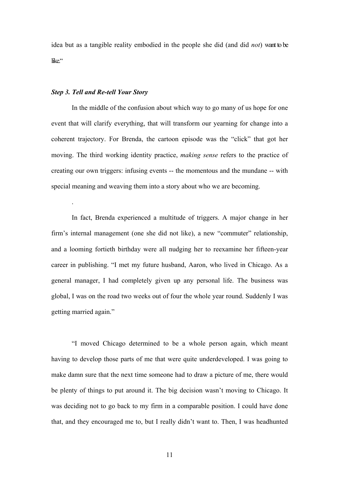idea but as a tangible reality embodied in the people she did (and did *not*) want to be like<sup>"</sup>

#### *Step 3. Tell and Re-tell Your Story*

.

In the middle of the confusion about which way to go many of us hope for one event that will clarify everything, that will transform our yearning for change into a coherent trajectory. For Brenda, the cartoon episode was the "click" that got her moving. The third working identity practice, *making sense* refers to the practice of creating our own triggers: infusing events -- the momentous and the mundane -- with special meaning and weaving them into a story about who we are becoming.

In fact, Brenda experienced a multitude of triggers. A major change in her firm's internal management (one she did not like), a new "commuter" relationship, and a looming fortieth birthday were all nudging her to reexamine her fifteen-year career in publishing. "I met my future husband, Aaron, who lived in Chicago. As a general manager, I had completely given up any personal life. The business was global, I was on the road two weeks out of four the whole year round. Suddenly I was getting married again."

"I moved Chicago determined to be a whole person again, which meant having to develop those parts of me that were quite underdeveloped. I was going to make damn sure that the next time someone had to draw a picture of me, there would be plenty of things to put around it. The big decision wasn't moving to Chicago. It was deciding not to go back to my firm in a comparable position. I could have done that, and they encouraged me to, but I really didn't want to. Then, I was headhunted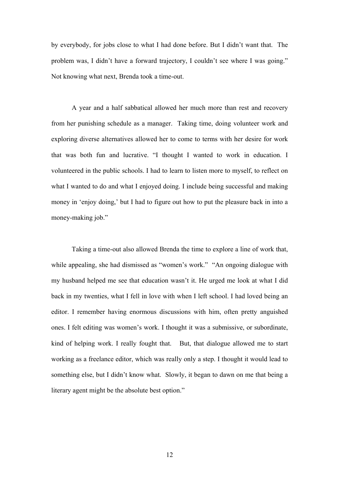by everybody, for jobs close to what I had done before. But I didn't want that. The problem was, I didn't have a forward trajectory, I couldn't see where I was going." Not knowing what next, Brenda took a time-out.

A year and a half sabbatical allowed her much more than rest and recovery from her punishing schedule as a manager. Taking time, doing volunteer work and exploring diverse alternatives allowed her to come to terms with her desire for work that was both fun and lucrative. "I thought I wanted to work in education. I volunteered in the public schools. I had to learn to listen more to myself, to reflect on what I wanted to do and what I enjoyed doing. I include being successful and making money in 'enjoy doing,' but I had to figure out how to put the pleasure back in into a money-making job."

Taking a time-out also allowed Brenda the time to explore a line of work that, while appealing, she had dismissed as "women's work." "An ongoing dialogue with my husband helped me see that education wasn't it. He urged me look at what I did back in my twenties, what I fell in love with when I left school. I had loved being an editor. I remember having enormous discussions with him, often pretty anguished ones. I felt editing was women's work. I thought it was a submissive, or subordinate, kind of helping work. I really fought that. But, that dialogue allowed me to start working as a freelance editor, which was really only a step. I thought it would lead to something else, but I didn't know what. Slowly, it began to dawn on me that being a literary agent might be the absolute best option."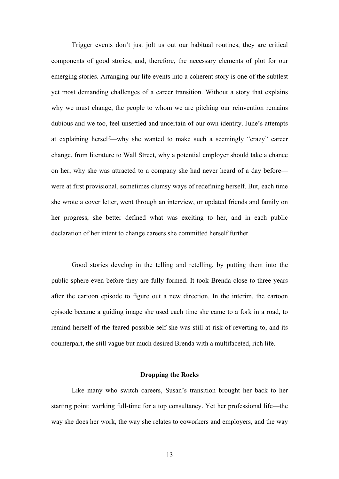Trigger events don't just jolt us out our habitual routines, they are critical components of good stories, and, therefore, the necessary elements of plot for our emerging stories. Arranging our life events into a coherent story is one of the subtlest yet most demanding challenges of a career transition. Without a story that explains why we must change, the people to whom we are pitching our reinvention remains dubious and we too, feel unsettled and uncertain of our own identity. June's attempts at explaining herself—why she wanted to make such a seemingly "crazy" career change, from literature to Wall Street, why a potential employer should take a chance on her, why she was attracted to a company she had never heard of a day before were at first provisional, sometimes clumsy ways of redefining herself. But, each time she wrote a cover letter, went through an interview, or updated friends and family on her progress, she better defined what was exciting to her, and in each public declaration of her intent to change careers she committed herself further

Good stories develop in the telling and retelling, by putting them into the public sphere even before they are fully formed. It took Brenda close to three years after the cartoon episode to figure out a new direction. In the interim, the cartoon episode became a guiding image she used each time she came to a fork in a road, to remind herself of the feared possible self she was still at risk of reverting to, and its counterpart, the still vague but much desired Brenda with a multifaceted, rich life.

#### **Dropping the Rocks**

Like many who switch careers, Susan's transition brought her back to her starting point: working full-time for a top consultancy. Yet her professional life—the way she does her work, the way she relates to coworkers and employers, and the way

13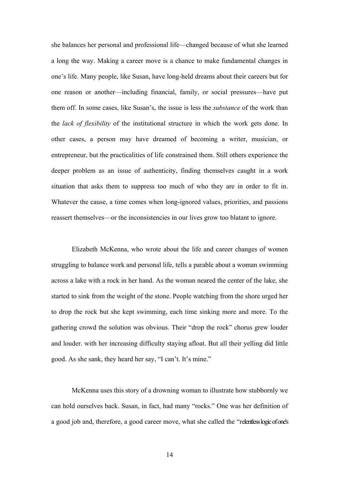she balances her personal and professional life—changed because of what she learned a long the way. Making a career move is a chance to make fundamental changes in one's life. Many people, like Susan, have long-held dreams about their careers but for one reason or another—including financial, family, or social pressures—have put them off. In some cases, like Susan's, the issue is less the *substance* of the work than the *lack of flexibility* of the institutional structure in which the work gets done. In other cases, a person may have dreamed of becoming a writer, musician, or entrepreneur, but the practicalities of life constrained them. Still others experience the deeper problem as an issue of authenticity, finding themselves caught in a work situation that asks them to suppress too much of who they are in order to fit in. Whatever the cause, a time comes when long-ignored values, priorities, and passions reassert themselves—or the inconsistencies in our lives grow too blatant to ignore.

Elizabeth McKenna, who wrote about the life and career changes of women struggling to balance work and personal life, tells a parable about a woman swimming across a lake with a rock in her hand. As the woman neared the center of the lake, she started to sink from the weight of the stone. People watching from the shore urged her to drop the rock but she kept swimming, each time sinking more and more. To the gathering crowd the solution was obvious. Their "drop the rock" chorus grew louder and louder. with her increasing difficulty staying afloat. But all their yelling did little good. As she sank, they heard her say, "I can't. It's mine."

McKenna uses this story of a drowning woman to illustrate how stubbornly we can hold ourselves back. Susan, in fact, had many "rocks." One was her definition of a good job and, therefore, a good career move, what she called the "relentlesslogicofone's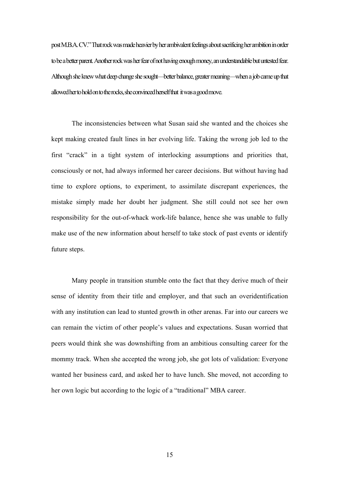post M.B.A. CV." That rock was made heavier by her ambivalent feelings about sacrificing her ambition in order to be a better parent. Another rock was her fear ofnot having enough money, an understandable but untested fear. Although she knew what deep change she sought—better balance, greater meaning—when a job came up that allowed her to hold on to the rocks, she convinced herself that it was a good move.

The inconsistencies between what Susan said she wanted and the choices she kept making created fault lines in her evolving life. Taking the wrong job led to the first "crack" in a tight system of interlocking assumptions and priorities that, consciously or not, had always informed her career decisions. But without having had time to explore options, to experiment, to assimilate discrepant experiences, the mistake simply made her doubt her judgment. She still could not see her own responsibility for the out-of-whack work-life balance, hence she was unable to fully make use of the new information about herself to take stock of past events or identify future steps.

Many people in transition stumble onto the fact that they derive much of their sense of identity from their title and employer, and that such an overidentification with any institution can lead to stunted growth in other arenas. Far into our careers we can remain the victim of other people's values and expectations. Susan worried that peers would think she was downshifting from an ambitious consulting career for the mommy track. When she accepted the wrong job, she got lots of validation: Everyone wanted her business card, and asked her to have lunch. She moved, not according to her own logic but according to the logic of a "traditional" MBA career.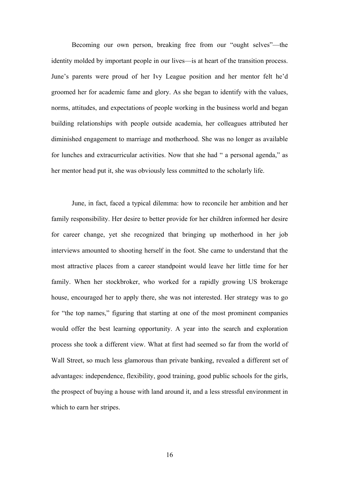Becoming our own person, breaking free from our "ought selves"—the identity molded by important people in our lives—is at heart of the transition process. June's parents were proud of her Ivy League position and her mentor felt he'd groomed her for academic fame and glory. As she began to identify with the values, norms, attitudes, and expectations of people working in the business world and began building relationships with people outside academia, her colleagues attributed her diminished engagement to marriage and motherhood. She was no longer as available for lunches and extracurricular activities. Now that she had " a personal agenda," as her mentor head put it, she was obviously less committed to the scholarly life.

June, in fact, faced a typical dilemma: how to reconcile her ambition and her family responsibility. Her desire to better provide for her children informed her desire for career change, yet she recognized that bringing up motherhood in her job interviews amounted to shooting herself in the foot. She came to understand that the most attractive places from a career standpoint would leave her little time for her family. When her stockbroker, who worked for a rapidly growing US brokerage house, encouraged her to apply there, she was not interested. Her strategy was to go for "the top names," figuring that starting at one of the most prominent companies would offer the best learning opportunity. A year into the search and exploration process she took a different view. What at first had seemed so far from the world of Wall Street, so much less glamorous than private banking, revealed a different set of advantages: independence, flexibility, good training, good public schools for the girls, the prospect of buying a house with land around it, and a less stressful environment in which to earn her stripes.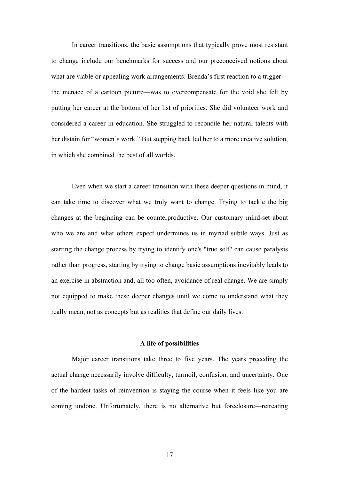In career transitions, the basic assumptions that typically prove most resistant to change include our benchmarks for success and our preconceived notions about what are viable or appealing work arrangements. Brenda's first reaction to a trigger the menace of a cartoon picture—was to overcompensate for the void she felt by putting her career at the bottom of her list of priorities. She did volunteer work and considered a career in education. She struggled to reconcile her natural talents with her distain for "women's work." But stepping back led her to a more creative solution, in which she combined the best of all worlds.

Even when we start a career transition with these deeper questions in mind, it can take time to discover what we truly want to change. Trying to tackle the big changes at the beginning can be counterproductive. Our customary mind-set about who we are and what others expect undermines us in myriad subtle ways. Just as starting the change process by trying to identify one's "true self" can cause paralysis rather than progress, starting by trying to change basic assumptions inevitably leads to an exercise in abstraction and, all too often, avoidance of real change. We are simply not equipped to make these deeper changes until we come to understand what they really mean, not as concepts but as realities that define our daily lives.

#### **A life of possibilities**

Major career transitions take three to five years. The years preceding the actual change necessarily involve difficulty, turmoil, confusion, and uncertainty. One of the hardest tasks of reinvention is staying the course when it feels like you are coming undone. Unfortunately, there is no alternative but foreclosure—retreating

17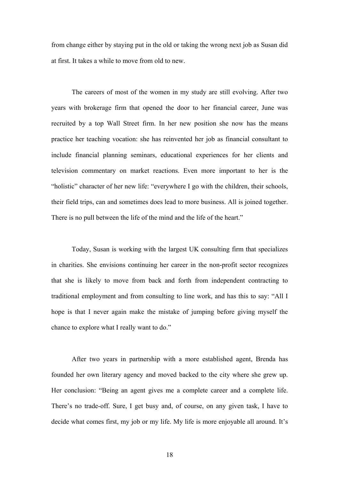from change either by staying put in the old or taking the wrong next job as Susan did at first. It takes a while to move from old to new.

The careers of most of the women in my study are still evolving. After two years with brokerage firm that opened the door to her financial career, June was recruited by a top Wall Street firm. In her new position she now has the means practice her teaching vocation: she has reinvented her job as financial consultant to include financial planning seminars, educational experiences for her clients and television commentary on market reactions. Even more important to her is the "holistic" character of her new life: "everywhere I go with the children, their schools, their field trips, can and sometimes does lead to more business. All is joined together. There is no pull between the life of the mind and the life of the heart."

Today, Susan is working with the largest UK consulting firm that specializes in charities. She envisions continuing her career in the non-profit sector recognizes that she is likely to move from back and forth from independent contracting to traditional employment and from consulting to line work, and has this to say: "All I hope is that I never again make the mistake of jumping before giving myself the chance to explore what I really want to do."

After two years in partnership with a more established agent, Brenda has founded her own literary agency and moved backed to the city where she grew up. Her conclusion: "Being an agent gives me a complete career and a complete life. There's no trade-off. Sure, I get busy and, of course, on any given task, I have to decide what comes first, my job or my life. My life is more enjoyable all around. It's

18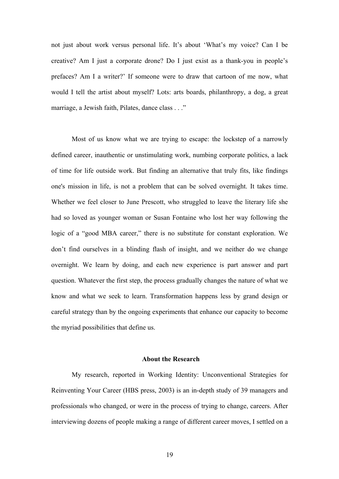not just about work versus personal life. It's about 'What's my voice? Can I be creative? Am I just a corporate drone? Do I just exist as a thank-you in people's prefaces? Am I a writer?' If someone were to draw that cartoon of me now, what would I tell the artist about myself? Lots: arts boards, philanthropy, a dog, a great marriage, a Jewish faith, Pilates, dance class . . ."

Most of us know what we are trying to escape: the lockstep of a narrowly defined career, inauthentic or unstimulating work, numbing corporate politics, a lack of time for life outside work. But finding an alternative that truly fits, like findings one's mission in life, is not a problem that can be solved overnight. It takes time. Whether we feel closer to June Prescott, who struggled to leave the literary life she had so loved as younger woman or Susan Fontaine who lost her way following the logic of a "good MBA career," there is no substitute for constant exploration. We don't find ourselves in a blinding flash of insight, and we neither do we change overnight. We learn by doing, and each new experience is part answer and part question. Whatever the first step, the process gradually changes the nature of what we know and what we seek to learn. Transformation happens less by grand design or careful strategy than by the ongoing experiments that enhance our capacity to become the myriad possibilities that define us.

## **About the Research**

My research, reported in Working Identity: Unconventional Strategies for Reinventing Your Career (HBS press, 2003) is an in-depth study of 39 managers and professionals who changed, or were in the process of trying to change, careers. After interviewing dozens of people making a range of different career moves, I settled on a